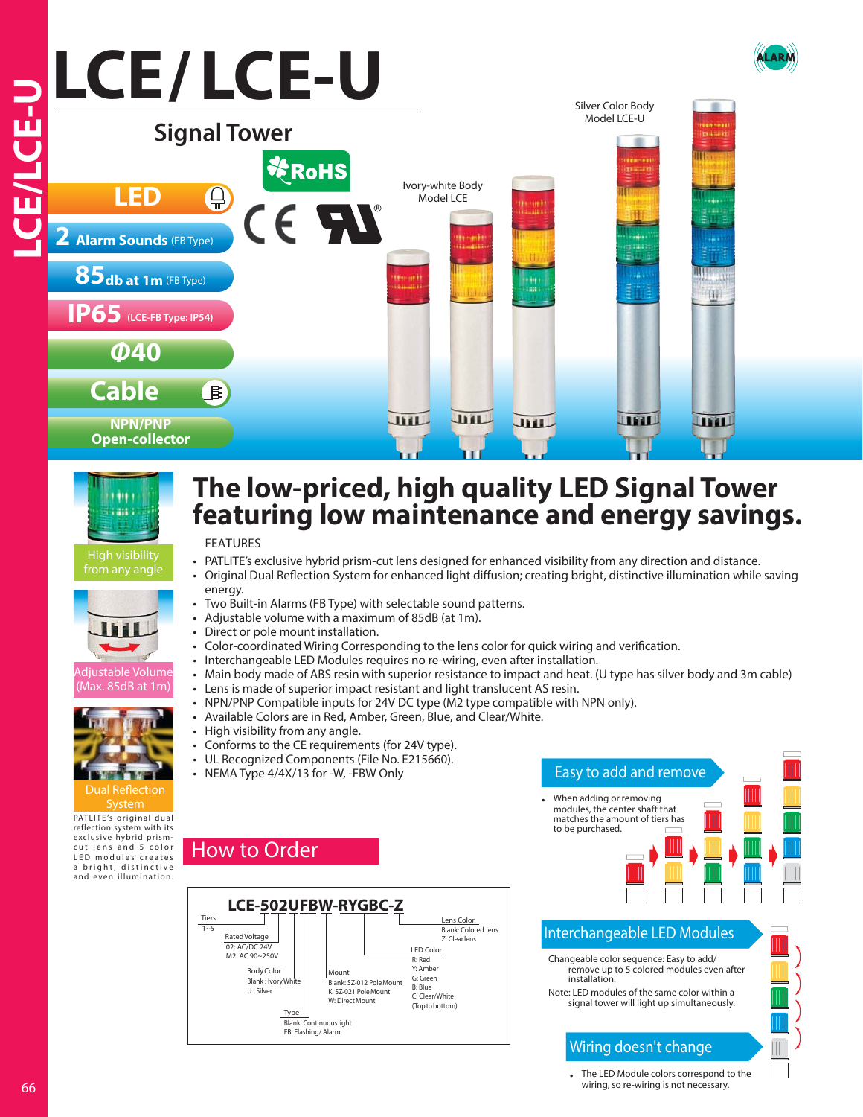# **LCE/ LCE-U**66 **LCE/LCE-U** Silver Color Body Model LCE-U **Signal Tower** Ivory-white Body **LED** Model LCE **2 Alarm Sounds** (FB Type) **85db at 1m** (FB Type) trath 田 **IP65 (LCE-FB Type: IP54) Φ40 Cable** 孒 JHL **JHL** JHL **THIT LITTLE NPN/PNP Open-collector**



High visibility from any angle



ljustable Volume lax. 85dB at 1m



PATLITE's original dual reflection system with its exclusive hybrid prismcut lens and 5 color LED modules creates a bright, distinctive and even illumination.

## **The low-priced, high quality LED Signal Tower featuring low maintenance and energy savings.**

### FEATURES

1~5 Tiers

Rated Voltage

02: AC/DC 24V M2: AC 90~250V

How to Order

**BodyColo** Blank : Ivory U : Silver

Type

- PATLITE's exclusive hybrid prism-cut lens designed for enhanced visibility from any direction and distance.
- Original Dual Reflection System for enhanced light diffusion; creating bright, distinctive illumination while saving energy.
- Two Built-in Alarms (FB Type) with selectable sound patterns.
- Adjustable volume with a maximum of 85dB (at 1m).
- Direct or pole mount installation.
- Color-coordinated Wiring Corresponding to the lens color for quick wiring and verification.
- Interchangeable LED Modules requires no re-wiring, even after installation.
- Main body made of ABS resin with superior resistance to impact and heat. (U type has silver body and 3m cable)
- Lens is made of superior impact resistant and light translucent AS resin.
- NPN/PNP Compatible inputs for 24V DC type (M2 type compatible with NPN only).

R: Red Y: Amber G: Green B: Blue

LED Color

- Available Colors are in Red, Amber, Green, Blue, and Clear/White.
- High visibility from any angle.
- Conforms to the CE requirements (for 24V type).
- UL Recognized Components (File No. E215660).

**LCE-502UFBW-RYGBC-Z**

Blank: Continuouslight FB: Flashing/ Alarm

Mount

Blank: SZ-012 PoleMount K: SZ-021 PoleMount W: Direct Mount

• NEMA Type 4/4X/13 for -W, -FBW Only



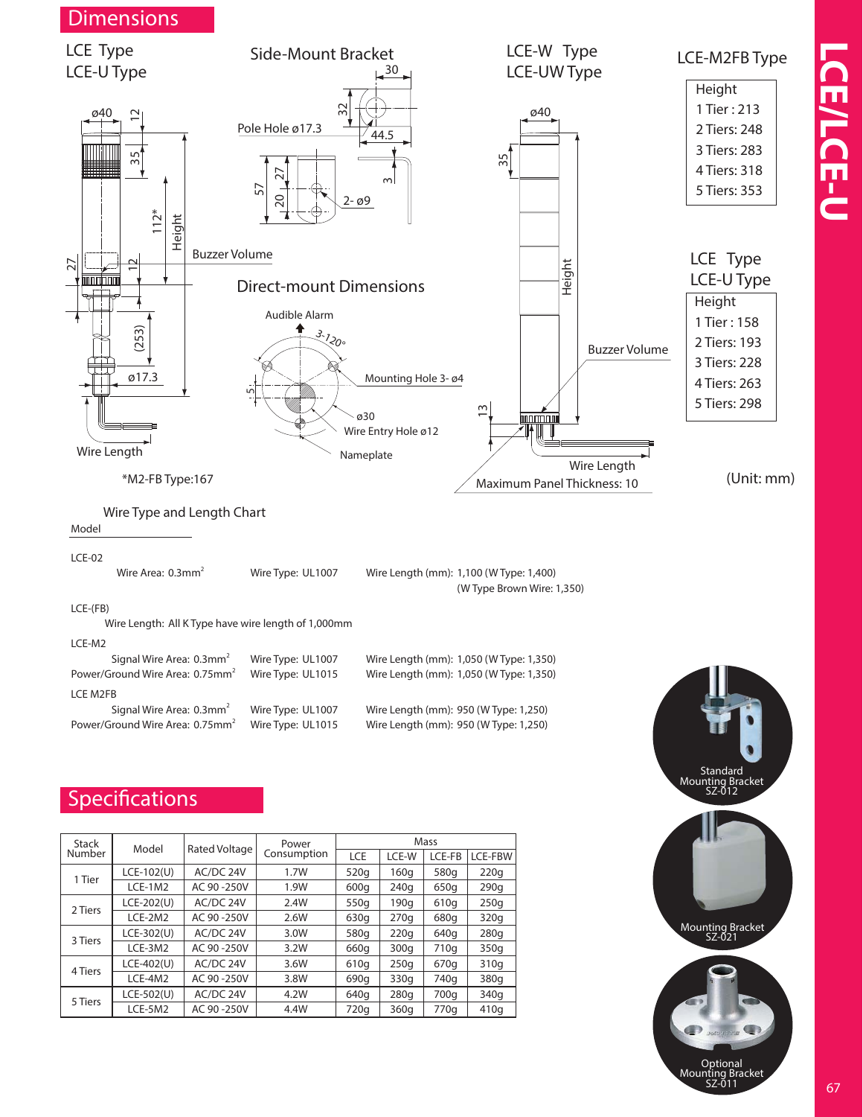

| <b>Stack</b> | Model        | Rated Voltage | Power       | Mass |                  |        |         |
|--------------|--------------|---------------|-------------|------|------------------|--------|---------|
| Number       |              |               | Consumption | LCE  | LCE-W            | LCE-FB | LCE-FBW |
| 1 Tier       | $LCE-102(U)$ | AC/DC 24V     | 1.7W        | 520g | 160q             | 580g   | 220q    |
|              | $LCE-1M2$    | AC 90 -250V   | 1.9W        | 600q | 240q             | 650g   | 290q    |
| 2 Tiers      | $LCE-202(U)$ | AC/DC 24V     | 2.4W        | 550g | 190q             | 610g   | 250q    |
|              | $LCE-2M2$    | AC 90-250V    | 2.6W        | 630g | 270a             | 680g   | 320g    |
| 3 Tiers      | $LCE-302(U)$ | AC/DC 24V     | 3.0W        | 580g | 220q             | 640g   | 280q    |
|              | LCE-3M2      | AC 90-250V    | 3.2W        | 660g | 300 <sub>q</sub> | 710g   | 350q    |
| 4 Tiers      | $LCE-402(U)$ | AC/DC 24V     | 3.6W        | 610g | 250q             | 670g   | 310g    |
|              | LCE-4M2      | AC 90 -250V   | 3.8W        | 690g | 330g             | 740g   | 380g    |
| 5 Tiers      | $LCE-502(U)$ | AC/DC 24V     | 4.2W        | 640g | 280q             | 700g   | 340g    |
|              | LCE-5M2      | AC 90 -250V   | 4.4W        | 720g | 360 <sub>a</sub> | 770a   | 410a    |



Optional<br>
Mounting Bracket<br>
SZ-011 67

**LCE/LCE-U**

CE/LCE-U